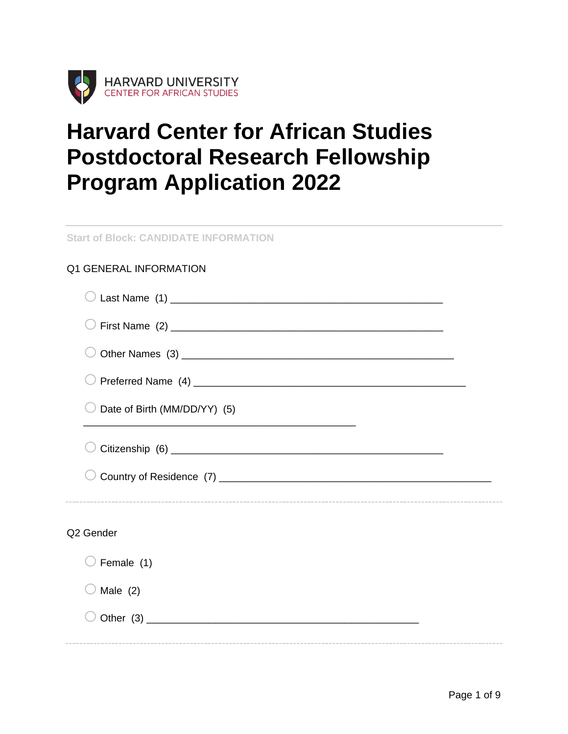

# **Harvard Center for African Studies Postdoctoral Research Fellowship Program Application 2022**

**Start of Block: CANDIDATE INFORMATION**

## Q1 GENERAL INFORMATION

| Date of Birth (MM/DD/YY) (5) |  |
|------------------------------|--|
|                              |  |
|                              |  |
| Q2 Gender                    |  |
| Female (1)                   |  |
| Male $(2)$                   |  |
|                              |  |
|                              |  |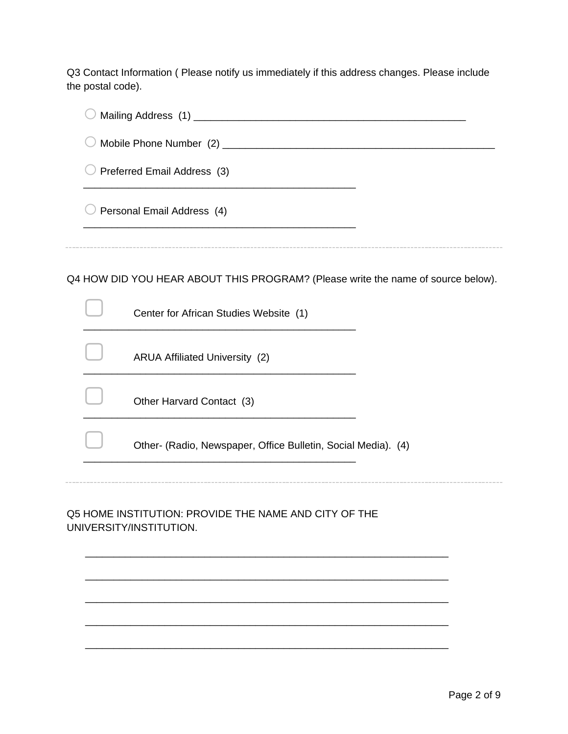Q3 Contact Information ( Please notify us immediately if this address changes. Please include the postal code).

| Preferred Email Address (3) |                                                                                  |  |  |  |
|-----------------------------|----------------------------------------------------------------------------------|--|--|--|
|                             | Personal Email Address (4)                                                       |  |  |  |
|                             | Q4 HOW DID YOU HEAR ABOUT THIS PROGRAM? (Please write the name of source below). |  |  |  |
|                             | Center for African Studies Website (1)                                           |  |  |  |
|                             | <b>ARUA Affiliated University (2)</b>                                            |  |  |  |
|                             | Other Harvard Contact (3)                                                        |  |  |  |
|                             | Other- (Radio, Newspaper, Office Bulletin, Social Media). (4)                    |  |  |  |
|                             | Q5 HOME INSTITUTION: PROVIDE THE NAME AND CITY OF THE<br>UNIVERSITY/INSTITUTION. |  |  |  |
|                             |                                                                                  |  |  |  |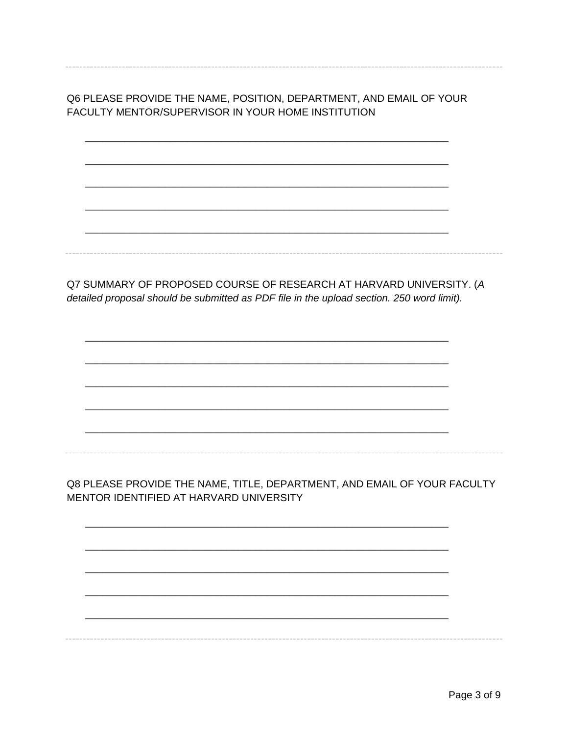Q6 PLEASE PROVIDE THE NAME, POSITION, DEPARTMENT, AND EMAIL OF YOUR FACULTY MENTOR/SUPERVISOR IN YOUR HOME INSTITUTION

Q7 SUMMARY OF PROPOSED COURSE OF RESEARCH AT HARVARD UNIVERSITY. (A detailed proposal should be submitted as PDF file in the upload section. 250 word limit).

Q8 PLEASE PROVIDE THE NAME, TITLE, DEPARTMENT, AND EMAIL OF YOUR FACULTY MENTOR IDENTIFIED AT HARVARD UNIVERSITY

Page 3 of 9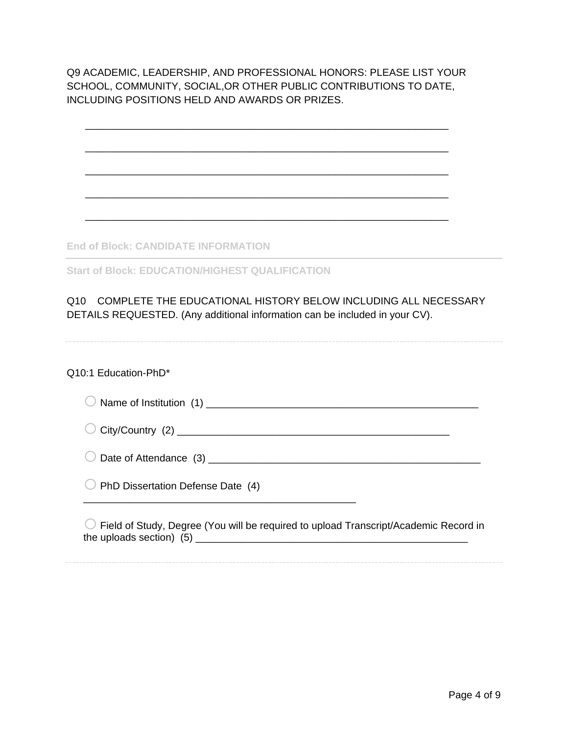Q9 ACADEMIC, LEADERSHIP, AND PROFESSIONAL HONORS: PLEASE LIST YOUR SCHOOL, COMMUNITY, SOCIAL,OR OTHER PUBLIC CONTRIBUTIONS TO DATE, INCLUDING POSITIONS HELD AND AWARDS OR PRIZES.

\_\_\_\_\_\_\_\_\_\_\_\_\_\_\_\_\_\_\_\_\_\_\_\_\_\_\_\_\_\_\_\_\_\_\_\_\_\_\_\_\_\_\_\_\_\_\_\_\_\_\_\_\_\_\_\_\_\_\_\_\_\_\_\_

\_\_\_\_\_\_\_\_\_\_\_\_\_\_\_\_\_\_\_\_\_\_\_\_\_\_\_\_\_\_\_\_\_\_\_\_\_\_\_\_\_\_\_\_\_\_\_\_\_\_\_\_\_\_\_\_\_\_\_\_\_\_\_\_

\_\_\_\_\_\_\_\_\_\_\_\_\_\_\_\_\_\_\_\_\_\_\_\_\_\_\_\_\_\_\_\_\_\_\_\_\_\_\_\_\_\_\_\_\_\_\_\_\_\_\_\_\_\_\_\_\_\_\_\_\_\_\_\_

\_\_\_\_\_\_\_\_\_\_\_\_\_\_\_\_\_\_\_\_\_\_\_\_\_\_\_\_\_\_\_\_\_\_\_\_\_\_\_\_\_\_\_\_\_\_\_\_\_\_\_\_\_\_\_\_\_\_\_\_\_\_\_\_

\_\_\_\_\_\_\_\_\_\_\_\_\_\_\_\_\_\_\_\_\_\_\_\_\_\_\_\_\_\_\_\_\_\_\_\_\_\_\_\_\_\_\_\_\_\_\_\_\_\_\_\_\_\_\_\_\_\_\_\_\_\_\_\_

**End of Block: CANDIDATE INFORMATION**

**Start of Block: EDUCATION/HIGHEST QUALIFICATION**

## Q10 COMPLETE THE EDUCATIONAL HISTORY BELOW INCLUDING ALL NECESSARY DETAILS REQUESTED. (Any additional information can be included in your CV).

#### Q10:1 Education-PhD\*

| PhD Dissertation Defense Date (4)                                                           |
|---------------------------------------------------------------------------------------------|
| $\cup$ Field of Study, Degree (You will be required to upload Transcript/Academic Record in |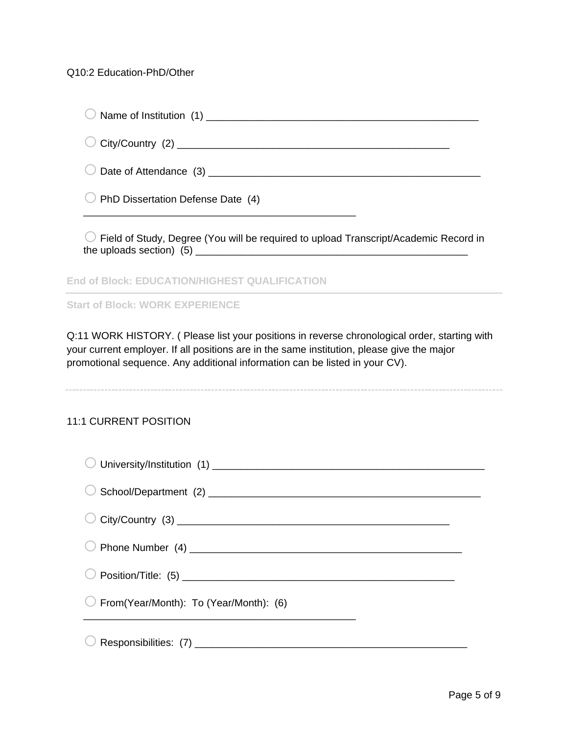## Q10:2 Education-PhD/Other

| PhD Dissertation Defense Date (4)                                                    |
|--------------------------------------------------------------------------------------|
| Field of Study, Degree (You will be required to upload Transcript/Academic Record in |
| End of Block: EDUCATION/HIGHEST QUALIFICATI                                          |

**Start of Block: WORK EXPERIENCE**

Q:11 WORK HISTORY. ( Please list your positions in reverse chronological order, starting with your current employer. If all positions are in the same institution, please give the major promotional sequence. Any additional information can be listed in your CV).

## 11:1 CURRENT POSITION

| $\bigcirc$ From(Year/Month): To (Year/Month): (6) |  |
|---------------------------------------------------|--|
|                                                   |  |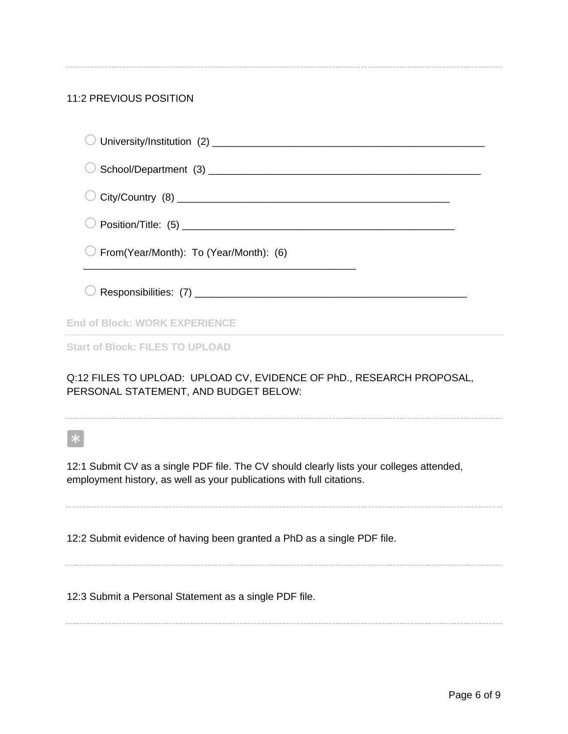# 11:2 PREVIOUS POSITION

| From(Year/Month): To (Year/Month): (6)                                                                                                                            |
|-------------------------------------------------------------------------------------------------------------------------------------------------------------------|
|                                                                                                                                                                   |
| <b>End of Block: WORK EXPERIENCE</b>                                                                                                                              |
| <b>Start of Block: FILES TO UPLOAD</b>                                                                                                                            |
| Q:12 FILES TO UPLOAD: UPLOAD CV, EVIDENCE OF PhD., RESEARCH PROPOSAL,<br>PERSONAL STATEMENT, AND BUDGET BELOW:                                                    |
|                                                                                                                                                                   |
| 12:1 Submit CV as a single PDF file. The CV should clearly lists your colleges attended,<br>employment history, as well as your publications with full citations. |
| 12:2 Submit evidence of having been granted a PhD as a single PDF file.                                                                                           |

12:3 Submit a Personal Statement as a single PDF file.

Page 6 of 9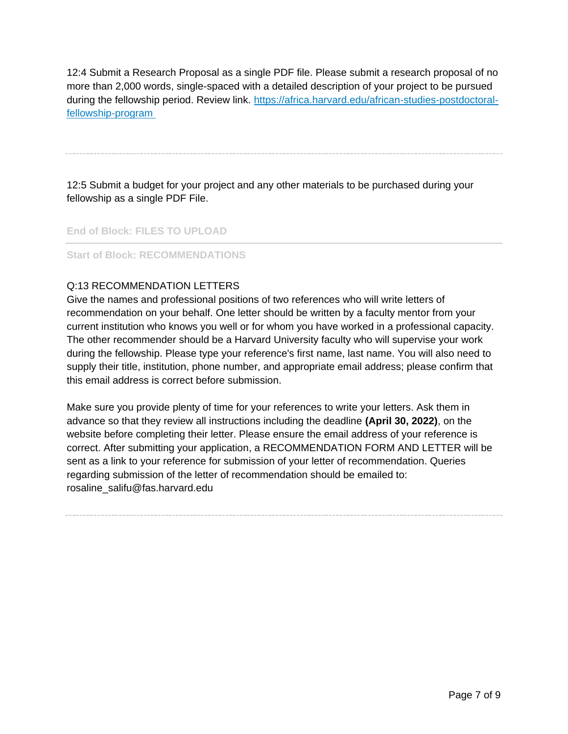12:4 Submit a Research Proposal as a single PDF file. Please submit a research proposal of no more than 2,000 words, single-spaced with a detailed description of your project to be pursued during the fellowship period. Review link. [https://africa.harvard.edu/african-studies-postdoctoral](https://africa.harvard.edu/african-studies-postdoctoral-fellowship-program)[fellowship-program](https://africa.harvard.edu/african-studies-postdoctoral-fellowship-program)

12:5 Submit a budget for your project and any other materials to be purchased during your fellowship as a single PDF File.

**End of Block: FILES TO UPLOAD**

**Start of Block: RECOMMENDATIONS**

## Q:13 RECOMMENDATION LETTERS

Give the names and professional positions of two references who will write letters of recommendation on your behalf. One letter should be written by a faculty mentor from your current institution who knows you well or for whom you have worked in a professional capacity. The other recommender should be a Harvard University faculty who will supervise your work during the fellowship. Please type your reference's first name, last name. You will also need to supply their title, institution, phone number, and appropriate email address; please confirm that this email address is correct before submission.

Make sure you provide plenty of time for your references to write your letters. Ask them in advance so that they review all instructions including the deadline **(April 30, 2022)**, on the website before completing their letter. Please ensure the email address of your reference is correct. After submitting your application, a RECOMMENDATION FORM AND LETTER will be sent as a link to your reference for submission of your letter of recommendation. Queries regarding submission of the letter of recommendation should be emailed to: rosaline\_salifu@fas.harvard.edu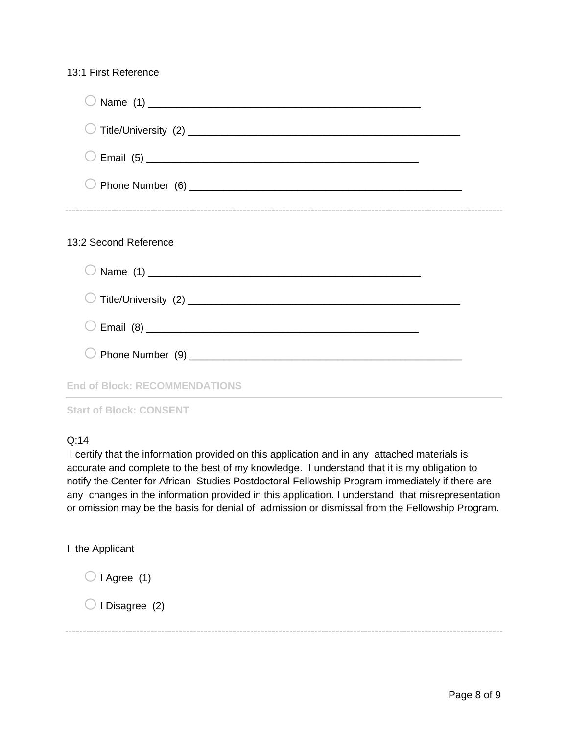## 13:1 First Reference

| 13:2 Second Reference                |  |
|--------------------------------------|--|
|                                      |  |
|                                      |  |
|                                      |  |
|                                      |  |
| <b>End of Block: RECOMMENDATIONS</b> |  |

**Start of Block: CONSENT**

# Q:14

I certify that the information provided on this application and in any attached materials is accurate and complete to the best of my knowledge. I understand that it is my obligation to notify the Center for African Studies Postdoctoral Fellowship Program immediately if there are any changes in the information provided in this application. I understand that misrepresentation or omission may be the basis for denial of admission or dismissal from the Fellowship Program.

I, the Applicant

 $\bigcirc$  I Agree (1)

 $\bigcirc$  I Disagree (2)